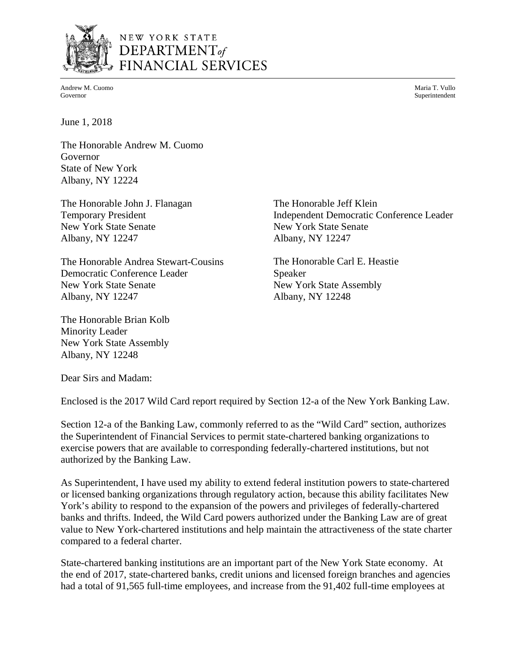

# NEW YORK STATE DEPARTMENT<sub>of</sub> FINANCIAL SERVICES

Andrew M. Cuomo Governor

Maria T. Vullo Superintendent

June 1, 2018

The Honorable Andrew M. Cuomo Governor State of New York Albany, NY 12224

The Honorable John J. Flanagan Temporary President New York State Senate Albany, NY 12247

The Honorable Andrea Stewart-Cousins Democratic Conference Leader New York State Senate Albany, NY 12247

The Honorable Brian Kolb Minority Leader New York State Assembly Albany, NY 12248

The Honorable Jeff Klein Independent Democratic Conference Leader New York State Senate Albany, NY 12247

The Honorable Carl E. Heastie Speaker New York State Assembly Albany, NY 12248

Dear Sirs and Madam:

Enclosed is the 2017 Wild Card report required by Section 12-a of the New York Banking Law.

Section 12-a of the Banking Law, commonly referred to as the "Wild Card" section, authorizes the Superintendent of Financial Services to permit state-chartered banking organizations to exercise powers that are available to corresponding federally-chartered institutions, but not authorized by the Banking Law.

As Superintendent, I have used my ability to extend federal institution powers to state-chartered or licensed banking organizations through regulatory action, because this ability facilitates New York's ability to respond to the expansion of the powers and privileges of federally-chartered banks and thrifts. Indeed, the Wild Card powers authorized under the Banking Law are of great value to New York-chartered institutions and help maintain the attractiveness of the state charter compared to a federal charter.

State-chartered banking institutions are an important part of the New York State economy. At the end of 2017, state-chartered banks, credit unions and licensed foreign branches and agencies had a total of 91,565 full-time employees, and increase from the 91,402 full-time employees at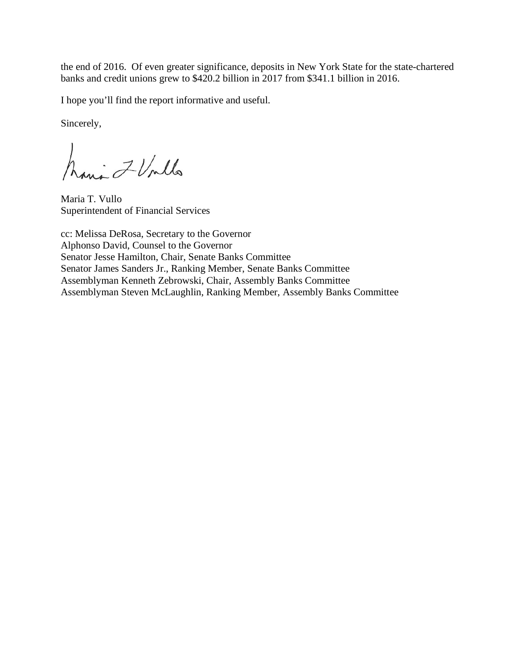the end of 2016. Of even greater significance, deposits in New York State for the state-chartered banks and credit unions grew to \$420.2 billion in 2017 from \$341.1 billion in 2016.

I hope you'll find the report informative and useful.

Sincerely,

Maria 7 Unlls

Maria T. Vullo Superintendent of Financial Services

cc: Melissa DeRosa, Secretary to the Governor Alphonso David, Counsel to the Governor Senator Jesse Hamilton, Chair, Senate Banks Committee Senator James Sanders Jr., Ranking Member, Senate Banks Committee Assemblyman Kenneth Zebrowski, Chair, Assembly Banks Committee Assemblyman Steven McLaughlin, Ranking Member, Assembly Banks Committee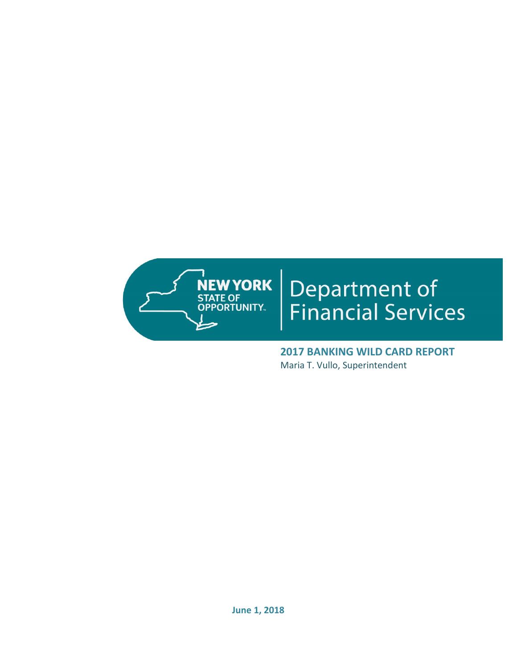

# **Department of<br>Financial Services**

**2017 BANKING WILD CARD REPORT**  Maria T. Vullo, Superintendent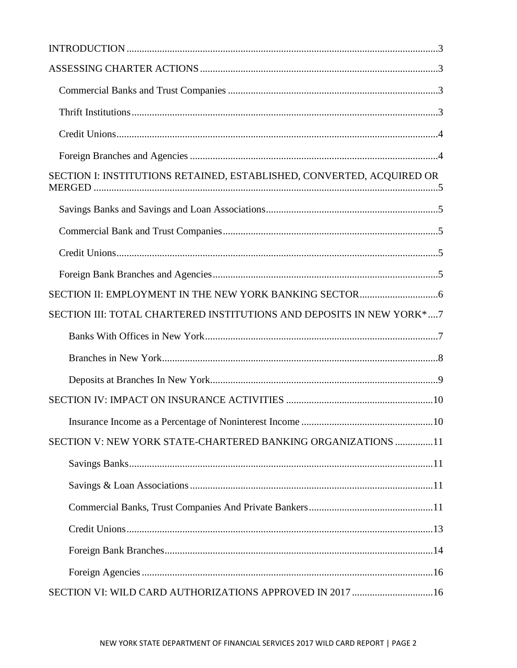| SECTION I: INSTITUTIONS RETAINED, ESTABLISHED, CONVERTED, ACQUIRED OR |  |
|-----------------------------------------------------------------------|--|
|                                                                       |  |
|                                                                       |  |
|                                                                       |  |
|                                                                       |  |
|                                                                       |  |
| SECTION III: TOTAL CHARTERED INSTITUTIONS AND DEPOSITS IN NEW YORK*7  |  |
|                                                                       |  |
|                                                                       |  |
|                                                                       |  |
|                                                                       |  |
|                                                                       |  |
| SECTION V: NEW YORK STATE-CHARTERED BANKING ORGANIZATIONS 11          |  |
|                                                                       |  |
|                                                                       |  |
|                                                                       |  |
|                                                                       |  |
|                                                                       |  |
|                                                                       |  |
|                                                                       |  |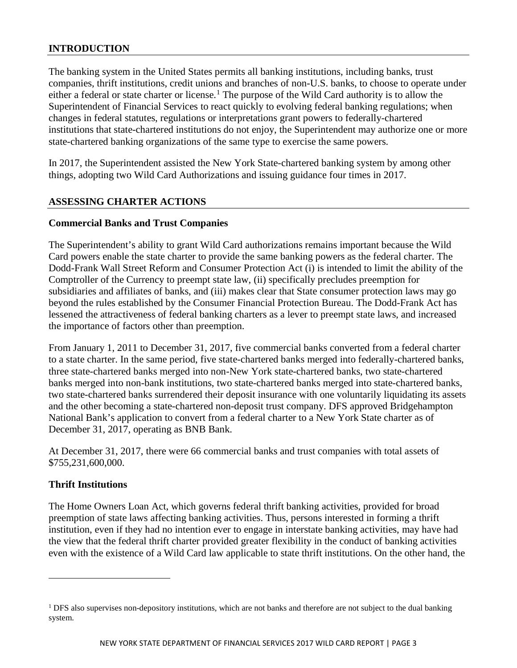## <span id="page-4-0"></span>**INTRODUCTION**

The banking system in the United States permits all banking institutions, including banks, trust companies, thrift institutions, credit unions and branches of non-U.S. banks, to choose to operate under either a federal or state charter or license. [1](#page-4-4) The purpose of the Wild Card authority is to allow the Superintendent of Financial Services to react quickly to evolving federal banking regulations; when changes in federal statutes, regulations or interpretations grant powers to federally-chartered institutions that state-chartered institutions do not enjoy, the Superintendent may authorize one or more state-chartered banking organizations of the same type to exercise the same powers.

In 2017, the Superintendent assisted the New York State-chartered banking system by among other things, adopting two Wild Card Authorizations and issuing guidance four times in 2017.

## <span id="page-4-1"></span>**ASSESSING CHARTER ACTIONS**

#### <span id="page-4-2"></span>**Commercial Banks and Trust Companies**

The Superintendent's ability to grant Wild Card authorizations remains important because the Wild Card powers enable the state charter to provide the same banking powers as the federal charter. The Dodd-Frank Wall Street Reform and Consumer Protection Act (i) is intended to limit the ability of the Comptroller of the Currency to preempt state law, (ii) specifically precludes preemption for subsidiaries and affiliates of banks, and (iii) makes clear that State consumer protection laws may go beyond the rules established by the Consumer Financial Protection Bureau. The Dodd-Frank Act has lessened the attractiveness of federal banking charters as a lever to preempt state laws, and increased the importance of factors other than preemption.

From January 1, 2011 to December 31, 2017, five commercial banks converted from a federal charter to a state charter. In the same period, five state-chartered banks merged into federally-chartered banks, three state-chartered banks merged into non-New York state-chartered banks, two state-chartered banks merged into non-bank institutions, two state-chartered banks merged into state-chartered banks, two state-chartered banks surrendered their deposit insurance with one voluntarily liquidating its assets and the other becoming a state-chartered non-deposit trust company. DFS approved Bridgehampton National Bank's application to convert from a federal charter to a New York State charter as of December 31, 2017, operating as BNB Bank.

At December 31, 2017, there were 66 commercial banks and trust companies with total assets of \$755,231,600,000.

## <span id="page-4-3"></span>**Thrift Institutions**

 $\overline{a}$ 

The Home Owners Loan Act, which governs federal thrift banking activities, provided for broad preemption of state laws affecting banking activities. Thus, persons interested in forming a thrift institution, even if they had no intention ever to engage in interstate banking activities, may have had the view that the federal thrift charter provided greater flexibility in the conduct of banking activities even with the existence of a Wild Card law applicable to state thrift institutions. On the other hand, the

<span id="page-4-4"></span><sup>&</sup>lt;sup>1</sup> DFS also supervises non-depository institutions, which are not banks and therefore are not subject to the dual banking system.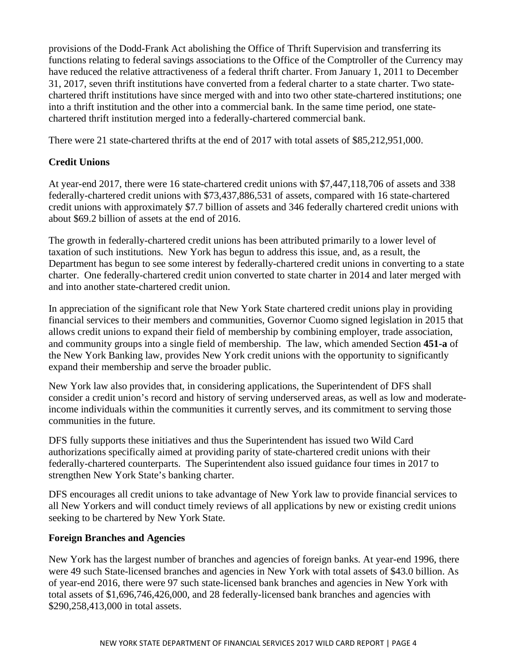provisions of the Dodd-Frank Act abolishing the Office of Thrift Supervision and transferring its functions relating to federal savings associations to the Office of the Comptroller of the Currency may have reduced the relative attractiveness of a federal thrift charter. From January 1, 2011 to December 31, 2017, seven thrift institutions have converted from a federal charter to a state charter. Two statechartered thrift institutions have since merged with and into two other state-chartered institutions; one into a thrift institution and the other into a commercial bank. In the same time period, one statechartered thrift institution merged into a federally-chartered commercial bank.

There were 21 state-chartered thrifts at the end of 2017 with total assets of \$85,212,951,000.

## <span id="page-5-0"></span>**Credit Unions**

At year-end 2017, there were 16 state-chartered credit unions with \$7,447,118,706 of assets and 338 federally-chartered credit unions with \$73,437,886,531 of assets, compared with 16 state-chartered credit unions with approximately \$7.7 billion of assets and 346 federally chartered credit unions with about \$69.2 billion of assets at the end of 2016.

The growth in federally-chartered credit unions has been attributed primarily to a lower level of taxation of such institutions. New York has begun to address this issue, and, as a result, the Department has begun to see some interest by federally-chartered credit unions in converting to a state charter. One federally-chartered credit union converted to state charter in 2014 and later merged with and into another state-chartered credit union.

In appreciation of the significant role that New York State chartered credit unions play in providing financial services to their members and communities, Governor Cuomo signed legislation in 2015 that allows credit unions to expand their field of membership by combining employer, trade association, and community groups into a single field of membership. The law, which amended Section **451-a** of the New York Banking law, provides New York credit unions with the opportunity to significantly expand their membership and serve the broader public.

New York law also provides that, in considering applications, the Superintendent of DFS shall consider a credit union's record and history of serving underserved areas, as well as low and moderateincome individuals within the communities it currently serves, and its commitment to serving those communities in the future.

DFS fully supports these initiatives and thus the Superintendent has issued two Wild Card authorizations specifically aimed at providing parity of state-chartered credit unions with their federally-chartered counterparts. The Superintendent also issued guidance four times in 2017 to strengthen New York State's banking charter.

DFS encourages all credit unions to take advantage of New York law to provide financial services to all New Yorkers and will conduct timely reviews of all applications by new or existing credit unions seeking to be chartered by New York State.

## <span id="page-5-1"></span>**Foreign Branches and Agencies**

New York has the largest number of branches and agencies of foreign banks. At year-end 1996, there were 49 such State-licensed branches and agencies in New York with total assets of \$43.0 billion. As of year-end 2016, there were 97 such state-licensed bank branches and agencies in New York with total assets of \$1,696,746,426,000, and 28 federally-licensed bank branches and agencies with \$290,258,413,000 in total assets.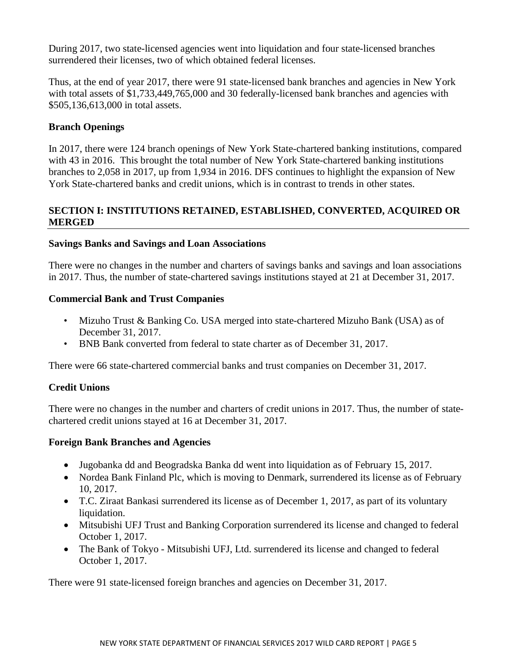During 2017, two state-licensed agencies went into liquidation and four state-licensed branches surrendered their licenses, two of which obtained federal licenses.

Thus, at the end of year 2017, there were 91 state-licensed bank branches and agencies in New York with total assets of \$1,733,449,765,000 and 30 federally-licensed bank branches and agencies with \$505,136,613,000 in total assets.

## **Branch Openings**

In 2017, there were 124 branch openings of New York State-chartered banking institutions, compared with 43 in 2016. This brought the total number of New York State-chartered banking institutions branches to 2,058 in 2017, up from 1,934 in 2016. DFS continues to highlight the expansion of New York State-chartered banks and credit unions, which is in contrast to trends in other states.

## <span id="page-6-0"></span>**SECTION I: INSTITUTIONS RETAINED, ESTABLISHED, CONVERTED, ACQUIRED OR MERGED**

#### <span id="page-6-1"></span>**Savings Banks and Savings and Loan Associations**

There were no changes in the number and charters of savings banks and savings and loan associations in 2017. Thus, the number of state-chartered savings institutions stayed at 21 at December 31, 2017.

#### <span id="page-6-2"></span>**Commercial Bank and Trust Companies**

- Mizuho Trust & Banking Co. USA merged into state-chartered Mizuho Bank (USA) as of December 31, 2017.
- BNB Bank converted from federal to state charter as of December 31, 2017.

There were 66 state-chartered commercial banks and trust companies on December 31, 2017.

## <span id="page-6-3"></span>**Credit Unions**

There were no changes in the number and charters of credit unions in 2017. Thus, the number of statechartered credit unions stayed at 16 at December 31, 2017.

#### <span id="page-6-4"></span>**Foreign Bank Branches and Agencies**

- Jugobanka dd and Beogradska Banka dd went into liquidation as of February 15, 2017.
- Nordea Bank Finland Plc, which is moving to Denmark, surrendered its license as of February 10, 2017.
- T.C. Ziraat Bankasi surrendered its license as of December 1, 2017, as part of its voluntary liquidation.
- Mitsubishi UFJ Trust and Banking Corporation surrendered its license and changed to federal October 1, 2017.
- The Bank of Tokyo Mitsubishi UFJ, Ltd. surrendered its license and changed to federal October 1, 2017.

There were 91 state-licensed foreign branches and agencies on December 31, 2017.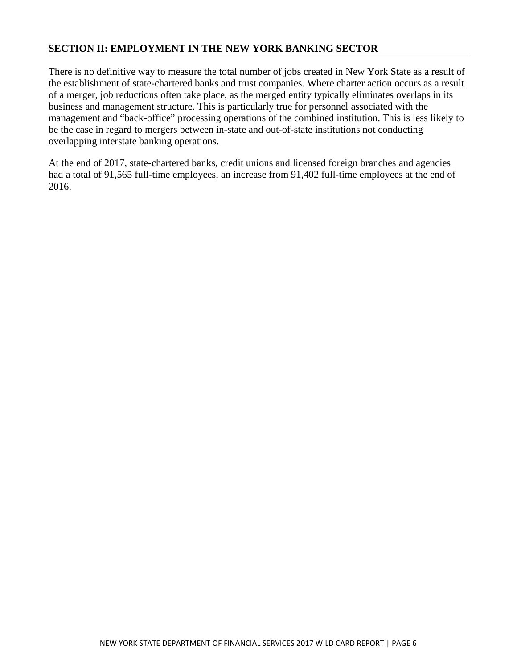## <span id="page-7-0"></span>**SECTION II: EMPLOYMENT IN THE NEW YORK BANKING SECTOR**

There is no definitive way to measure the total number of jobs created in New York State as a result of the establishment of state-chartered banks and trust companies. Where charter action occurs as a result of a merger, job reductions often take place, as the merged entity typically eliminates overlaps in its business and management structure. This is particularly true for personnel associated with the management and "back-office" processing operations of the combined institution. This is less likely to be the case in regard to mergers between in-state and out-of-state institutions not conducting overlapping interstate banking operations.

At the end of 2017, state-chartered banks, credit unions and licensed foreign branches and agencies had a total of 91,565 full-time employees, an increase from 91,402 full-time employees at the end of 2016.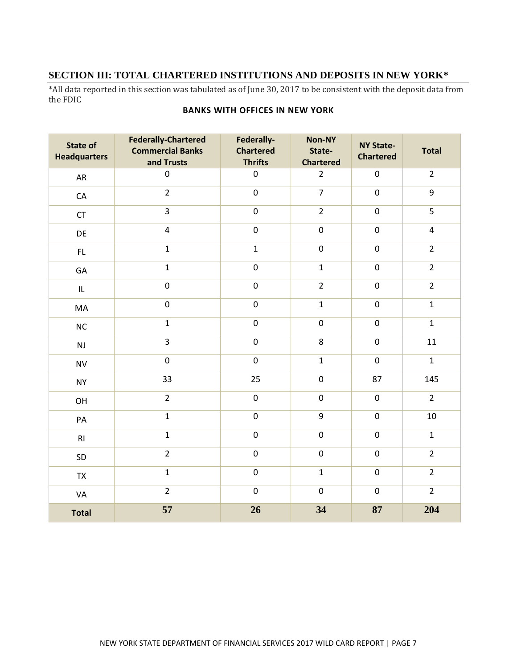## <span id="page-8-0"></span>**SECTION III: TOTAL CHARTERED INSTITUTIONS AND DEPOSITS IN NEW YORK\***

<span id="page-8-1"></span>\*All data reported in this section was tabulated as of June 30, 2017 to be consistent with the deposit data from the FDIC

| <b>State of</b><br><b>Headquarters</b> | <b>Federally-Chartered</b><br><b>Commercial Banks</b><br>and Trusts | Federally-<br><b>Chartered</b><br><b>Thrifts</b> | Non-NY<br>State-<br><b>Chartered</b> | <b>NY State-</b><br><b>Chartered</b> | <b>Total</b>            |
|----------------------------------------|---------------------------------------------------------------------|--------------------------------------------------|--------------------------------------|--------------------------------------|-------------------------|
| AR                                     | $\mathbf 0$                                                         | $\pmb{0}$                                        | $\overline{2}$                       | $\pmb{0}$                            | $\overline{2}$          |
| ${\sf CA}$                             | $\overline{2}$                                                      | $\mathbf 0$                                      | $\overline{7}$                       | $\pmb{0}$                            | 9                       |
| CT                                     | $\overline{3}$                                                      | $\pmb{0}$                                        | $\overline{2}$                       | $\mathbf 0$                          | 5                       |
| DE                                     | $\overline{4}$                                                      | $\mathbf 0$                                      | $\pmb{0}$                            | $\boldsymbol{0}$                     | $\overline{\mathbf{4}}$ |
| FL                                     | $\mathbf{1}$                                                        | $\mathbf{1}$                                     | $\pmb{0}$                            | $\pmb{0}$                            | $\overline{2}$          |
| GA                                     | $\mathbf{1}$                                                        | $\pmb{0}$                                        | $\mathbf{1}$                         | $\pmb{0}$                            | $\overline{2}$          |
| IL                                     | $\boldsymbol{0}$                                                    | $\mathbf 0$                                      | $\overline{2}$                       | $\pmb{0}$                            | $\overline{2}$          |
| MA                                     | $\mathbf 0$                                                         | $\pmb{0}$                                        | $\mathbf{1}$                         | $\pmb{0}$                            | $\mathbf{1}$            |
| NC                                     | $\mathbf{1}$                                                        | $\boldsymbol{0}$                                 | $\pmb{0}$                            | $\mathbf 0$                          | $\mathbf{1}$            |
| NJ                                     | $\overline{3}$                                                      | $\pmb{0}$                                        | 8                                    | $\boldsymbol{0}$                     | 11                      |
| <b>NV</b>                              | $\pmb{0}$                                                           | $\mathbf 0$                                      | $\mathbf{1}$                         | $\pmb{0}$                            | $\mathbf{1}$            |
| <b>NY</b>                              | 33                                                                  | 25                                               | $\boldsymbol{0}$                     | 87                                   | 145                     |
| OH                                     | $\overline{2}$                                                      | $\pmb{0}$                                        | $\boldsymbol{0}$                     | $\pmb{0}$                            | $\overline{2}$          |
| $\mathsf{PA}$                          | $\mathbf{1}$                                                        | $\mathbf 0$                                      | 9                                    | $\pmb{0}$                            | $10\,$                  |
| RI                                     | $\mathbf{1}$                                                        | $\pmb{0}$                                        | $\pmb{0}$                            | $\pmb{0}$                            | $\mathbf{1}$            |
| SD                                     | $\overline{2}$                                                      | $\pmb{0}$                                        | $\pmb{0}$                            | $\boldsymbol{0}$                     | $\overline{2}$          |
| TX                                     | $\mathbf{1}$                                                        | $\pmb{0}$                                        | $\mathbf{1}$                         | $\pmb{0}$                            | $\overline{2}$          |
| VA                                     | $\overline{2}$                                                      | $\pmb{0}$                                        | $\boldsymbol{0}$                     | $\pmb{0}$                            | $\overline{2}$          |
| <b>Total</b>                           | 57                                                                  | 26                                               | 34                                   | 87                                   | 204                     |

#### **BANKS WITH OFFICES IN NEW YORK**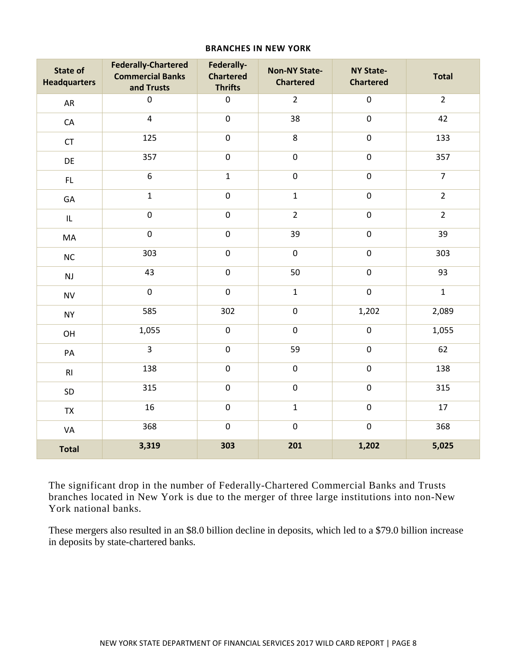#### **BRANCHES IN NEW YORK**

<span id="page-9-0"></span>

| <b>State of</b><br><b>Headquarters</b> | <b>Federally-Chartered</b><br><b>Commercial Banks</b><br>and Trusts | Federally-<br><b>Chartered</b><br><b>Thrifts</b> | <b>Non-NY State-</b><br><b>Chartered</b> | <b>NY State-</b><br><b>Chartered</b> | <b>Total</b>   |
|----------------------------------------|---------------------------------------------------------------------|--------------------------------------------------|------------------------------------------|--------------------------------------|----------------|
| AR                                     | $\boldsymbol{0}$                                                    | $\pmb{0}$                                        | $\overline{2}$                           | $\pmb{0}$                            | $\overline{2}$ |
| CA                                     | $\overline{4}$                                                      | $\pmb{0}$                                        | 38                                       | $\pmb{0}$                            | 42             |
| CT                                     | 125                                                                 | $\pmb{0}$                                        | $\,8\,$                                  | $\pmb{0}$                            | 133            |
| DE                                     | 357                                                                 | $\pmb{0}$                                        | $\boldsymbol{0}$                         | $\pmb{0}$                            | 357            |
| FL                                     | $\overline{6}$                                                      | $\mathbf{1}$                                     | $\pmb{0}$                                | $\pmb{0}$                            | $\overline{7}$ |
| GA                                     | $\mathbf{1}$                                                        | $\pmb{0}$                                        | $\mathbf{1}$                             | $\pmb{0}$                            | $\overline{2}$ |
| $\mathsf{IL}$                          | $\pmb{0}$                                                           | $\pmb{0}$                                        | $\overline{2}$                           | $\pmb{0}$                            | $\mathbf 2$    |
| MA                                     | $\mathbf 0$                                                         | $\pmb{0}$                                        | 39                                       | $\pmb{0}$                            | 39             |
| $\sf NC$                               | 303                                                                 | $\pmb{0}$                                        | $\pmb{0}$                                | $\pmb{0}$                            | 303            |
| $\mathsf{NJ}$                          | 43                                                                  | $\pmb{0}$                                        | 50                                       | $\pmb{0}$                            | 93             |
| <b>NV</b>                              | $\mathbf 0$                                                         | $\pmb{0}$                                        | $\mathbf 1$                              | $\pmb{0}$                            | $\mathbf 1$    |
| <b>NY</b>                              | 585                                                                 | 302                                              | $\pmb{0}$                                | 1,202                                | 2,089          |
| OH                                     | 1,055                                                               | $\pmb{0}$                                        | $\pmb{0}$                                | $\pmb{0}$                            | 1,055          |
| PA                                     | $\overline{3}$                                                      | $\pmb{0}$                                        | 59                                       | $\pmb{0}$                            | 62             |
| RI                                     | 138                                                                 | $\overline{0}$                                   | $\pmb{0}$                                | $\overline{0}$                       | 138            |
| SD                                     | 315                                                                 | $\pmb{0}$                                        | $\boldsymbol{0}$                         | $\pmb{0}$                            | 315            |
| TX                                     | 16                                                                  | $\pmb{0}$                                        | $\mathbf{1}$                             | $\pmb{0}$                            | 17             |
| VA                                     | 368                                                                 | $\pmb{0}$                                        | $\boldsymbol{0}$                         | $\pmb{0}$                            | 368            |
| <b>Total</b>                           | 3,319                                                               | 303                                              | 201                                      | 1,202                                | 5,025          |

The significant drop in the number of Federally-Chartered Commercial Banks and Trusts branches located in New York is due to the merger of three large institutions into non-New York national banks.

These mergers also resulted in an \$8.0 billion decline in deposits, which led to a \$79.0 billion increase in deposits by state-chartered banks.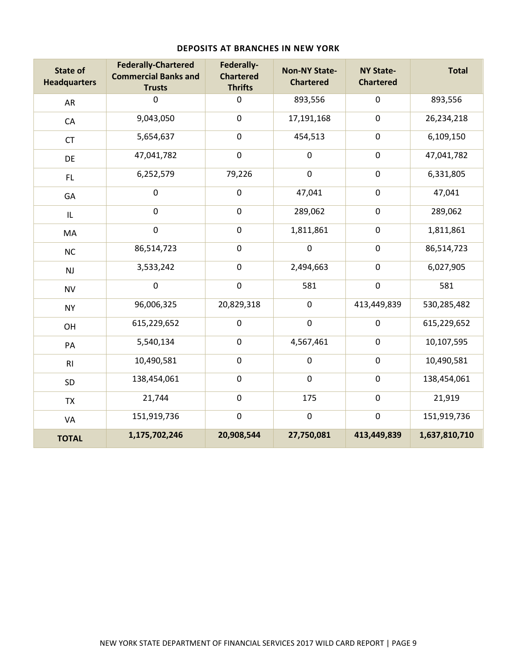<span id="page-10-0"></span>

| <b>State of</b><br><b>Headquarters</b> | <b>Federally-Chartered</b><br><b>Commercial Banks and</b><br><b>Trusts</b> | Federally-<br><b>Chartered</b><br><b>Thrifts</b> | <b>Non-NY State-</b><br><b>Chartered</b> | <b>NY State-</b><br><b>Chartered</b> | <b>Total</b>  |
|----------------------------------------|----------------------------------------------------------------------------|--------------------------------------------------|------------------------------------------|--------------------------------------|---------------|
| AR                                     | 0                                                                          | $\mathbf 0$                                      | 893,556                                  | $\mathbf 0$                          | 893,556       |
| CA                                     | 9,043,050                                                                  | $\mathbf 0$                                      | 17,191,168                               | $\pmb{0}$                            | 26,234,218    |
| <b>CT</b>                              | 5,654,637                                                                  | $\pmb{0}$                                        | 454,513                                  | $\pmb{0}$                            | 6,109,150     |
| DE                                     | 47,041,782                                                                 | $\pmb{0}$                                        | $\pmb{0}$                                | $\pmb{0}$                            | 47,041,782    |
| FL.                                    | 6,252,579                                                                  | 79,226                                           | $\pmb{0}$                                | $\pmb{0}$                            | 6,331,805     |
| GA                                     | $\boldsymbol{0}$                                                           | $\pmb{0}$                                        | 47,041                                   | $\pmb{0}$                            | 47,041        |
| IL                                     | $\pmb{0}$                                                                  | $\pmb{0}$                                        | 289,062                                  | $\pmb{0}$                            | 289,062       |
| MA                                     | $\pmb{0}$                                                                  | $\pmb{0}$                                        | 1,811,861                                | $\pmb{0}$                            | 1,811,861     |
| <b>NC</b>                              | 86,514,723                                                                 | $\pmb{0}$                                        | $\pmb{0}$                                | $\mathbf 0$                          | 86,514,723    |
| NJ                                     | 3,533,242                                                                  | $\pmb{0}$                                        | 2,494,663                                | $\pmb{0}$                            | 6,027,905     |
| <b>NV</b>                              | $\boldsymbol{0}$                                                           | $\boldsymbol{0}$                                 | 581                                      | $\mathbf 0$                          | 581           |
| <b>NY</b>                              | 96,006,325                                                                 | 20,829,318                                       | $\boldsymbol{0}$                         | 413,449,839                          | 530,285,482   |
| OH                                     | 615,229,652                                                                | $\pmb{0}$                                        | $\pmb{0}$                                | $\mathbf 0$                          | 615,229,652   |
| PA                                     | 5,540,134                                                                  | $\mathbf 0$                                      | 4,567,461                                | $\pmb{0}$                            | 10,107,595    |
| RI                                     | 10,490,581                                                                 | $\pmb{0}$                                        | $\pmb{0}$                                | $\pmb{0}$                            | 10,490,581    |
| SD                                     | 138,454,061                                                                | $\pmb{0}$                                        | $\pmb{0}$                                | $\pmb{0}$                            | 138,454,061   |
| <b>TX</b>                              | 21,744                                                                     | $\mathbf 0$                                      | 175                                      | $\pmb{0}$                            | 21,919        |
| VA                                     | 151,919,736                                                                | $\pmb{0}$                                        | $\pmb{0}$                                | $\pmb{0}$                            | 151,919,736   |
| <b>TOTAL</b>                           | 1,175,702,246                                                              | 20,908,544                                       | 27,750,081                               | 413,449,839                          | 1,637,810,710 |

#### **DEPOSITS AT BRANCHES IN NEW YORK**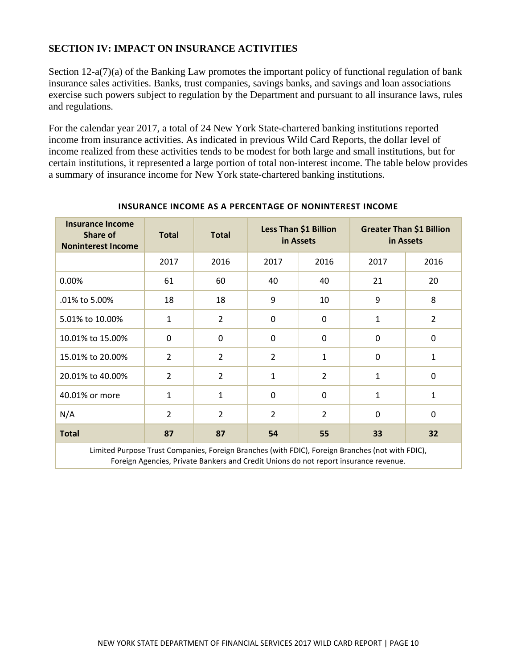## <span id="page-11-0"></span>**SECTION IV: IMPACT ON INSURANCE ACTIVITIES**

Section 12-a(7)(a) of the Banking Law promotes the important policy of functional regulation of bank insurance sales activities. Banks, trust companies, savings banks, and savings and loan associations exercise such powers subject to regulation by the Department and pursuant to all insurance laws, rules and regulations.

For the calendar year 2017, a total of 24 New York State-chartered banking institutions reported income from insurance activities. As indicated in previous Wild Card Reports, the dollar level of income realized from these activities tends to be modest for both large and small institutions, but for certain institutions, it represented a large portion of total non-interest income. The table below provides a summary of insurance income for New York state-chartered banking institutions.

<span id="page-11-1"></span>

| <b>Insurance Income</b><br><b>Share of</b><br><b>Noninterest Income</b> | <b>Total</b>   | <b>Total</b>   | Less Than \$1 Billion<br>in Assets |                |              | <b>Greater Than \$1 Billion</b><br>in Assets |
|-------------------------------------------------------------------------|----------------|----------------|------------------------------------|----------------|--------------|----------------------------------------------|
|                                                                         | 2017           | 2016           | 2017                               | 2016           | 2017         | 2016                                         |
| 0.00%                                                                   | 61             | 60             | 40                                 | 40             | 21           | 20                                           |
| .01% to 5.00%                                                           | 18             | 18             | 9                                  | 10             | 9            | 8                                            |
| 5.01% to 10.00%                                                         | $\mathbf{1}$   | $\overline{2}$ | 0                                  | $\mathbf 0$    | $\mathbf{1}$ | $\overline{2}$                               |
| 10.01% to 15.00%                                                        | $\mathbf 0$    | $\mathbf 0$    | 0                                  | $\Omega$       | $\mathbf 0$  | 0                                            |
| 15.01% to 20.00%                                                        | $\overline{2}$ | $\overline{2}$ | $\overline{2}$                     | $\mathbf{1}$   | $\mathbf 0$  | $\mathbf{1}$                                 |
| 20.01% to 40.00%                                                        | 2              | $\overline{2}$ | 1                                  | $\overline{2}$ | $\mathbf{1}$ | $\mathbf 0$                                  |
| 40.01% or more                                                          | $\mathbf{1}$   | 1              | $\mathbf 0$                        | $\mathbf 0$    | $\mathbf{1}$ | 1                                            |
| N/A                                                                     | $\overline{2}$ | $\overline{2}$ | $\overline{2}$                     | $\overline{2}$ | $\mathbf 0$  | $\mathbf 0$                                  |
| <b>Total</b>                                                            | 87             | 87             | 54                                 | 55             | 33           | 32                                           |

#### **INSURANCE INCOME AS A PERCENTAGE OF NONINTEREST INCOME**

Limited Purpose Trust Companies, Foreign Branches (with FDIC), Foreign Branches (not with FDIC), Foreign Agencies, Private Bankers and Credit Unions do not report insurance revenue.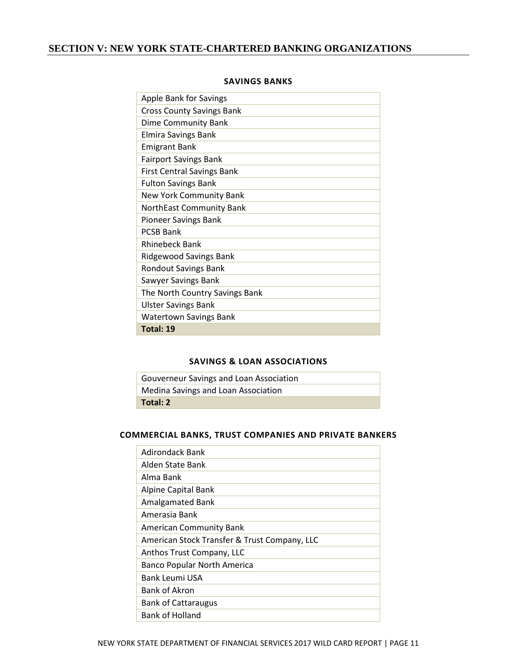## <span id="page-12-1"></span><span id="page-12-0"></span>**SECTION V: NEW YORK STATE-CHARTERED BANKING ORGANIZATIONS**

| <b>Apple Bank for Savings</b>     |
|-----------------------------------|
| <b>Cross County Savings Bank</b>  |
| Dime Community Bank               |
| Elmira Savings Bank               |
| <b>Emigrant Bank</b>              |
| <b>Fairport Savings Bank</b>      |
| <b>First Central Savings Bank</b> |
| <b>Fulton Savings Bank</b>        |
| New York Community Bank           |
| NorthEast Community Bank          |
| Pioneer Savings Bank              |
| <b>PCSB Bank</b>                  |
| <b>Rhinebeck Bank</b>             |
| <b>Ridgewood Savings Bank</b>     |
| <b>Rondout Savings Bank</b>       |
| Sawyer Savings Bank               |
| The North Country Savings Bank    |
| <b>Ulster Savings Bank</b>        |
| <b>Watertown Savings Bank</b>     |
| Total: 19                         |

#### **SAVINGS BANKS**

#### **SAVINGS & LOAN ASSOCIATIONS**

<span id="page-12-2"></span>

| Gouverneur Savings and Loan Association |
|-----------------------------------------|
| Medina Savings and Loan Association     |
| Total: 2                                |

#### <span id="page-12-3"></span>**COMMERCIAL BANKS, TRUST COMPANIES AND PRIVATE BANKERS**

| <b>Adirondack Bank</b>                       |
|----------------------------------------------|
| Alden State Bank                             |
| Alma Bank                                    |
| Alpine Capital Bank                          |
| <b>Amalgamated Bank</b>                      |
| Amerasia Bank                                |
| <b>American Community Bank</b>               |
| American Stock Transfer & Trust Company, LLC |
| Anthos Trust Company, LLC                    |
| <b>Banco Popular North America</b>           |
| Bank Leumi USA                               |
| Bank of Akron                                |
| <b>Bank of Cattaraugus</b>                   |
| Bank of Holland                              |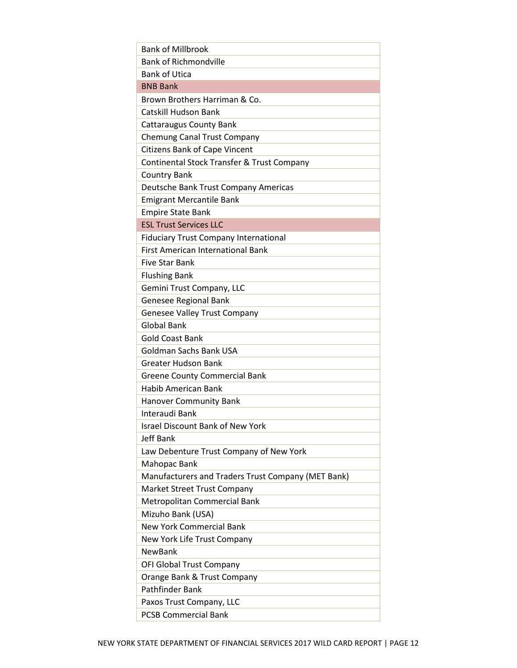| <b>Bank of Millbrook</b>                           |
|----------------------------------------------------|
| <b>Bank of Richmondville</b>                       |
| <b>Bank of Utica</b>                               |
| <b>BNB Bank</b>                                    |
| Brown Brothers Harriman & Co.                      |
| <b>Catskill Hudson Bank</b>                        |
| <b>Cattaraugus County Bank</b>                     |
| Chemung Canal Trust Company                        |
| <b>Citizens Bank of Cape Vincent</b>               |
| Continental Stock Transfer & Trust Company         |
| <b>Country Bank</b>                                |
| Deutsche Bank Trust Company Americas               |
| <b>Emigrant Mercantile Bank</b>                    |
| <b>Empire State Bank</b>                           |
| <b>ESL Trust Services LLC</b>                      |
| <b>Fiduciary Trust Company International</b>       |
| <b>First American International Bank</b>           |
| <b>Five Star Bank</b>                              |
| <b>Flushing Bank</b>                               |
| Gemini Trust Company, LLC                          |
| <b>Genesee Regional Bank</b>                       |
| <b>Genesee Valley Trust Company</b>                |
| <b>Global Bank</b>                                 |
| <b>Gold Coast Bank</b>                             |
| <b>Goldman Sachs Bank USA</b>                      |
| <b>Greater Hudson Bank</b>                         |
| <b>Greene County Commercial Bank</b>               |
| <b>Habib American Bank</b>                         |
| <b>Hanover Community Bank</b>                      |
| Interaudi Bank                                     |
| <b>Israel Discount Bank of New York</b>            |
| <b>Jeff Bank</b>                                   |
| Law Debenture Trust Company of New York            |
| Mahopac Bank                                       |
| Manufacturers and Traders Trust Company (MET Bank) |
| Market Street Trust Company                        |
| Metropolitan Commercial Bank                       |
| Mizuho Bank (USA)                                  |
| <b>New York Commercial Bank</b>                    |
| New York Life Trust Company                        |
| <b>NewBank</b>                                     |
| OFI Global Trust Company                           |
| Orange Bank & Trust Company                        |
| <b>Pathfinder Bank</b>                             |
| Paxos Trust Company, LLC                           |
| <b>PCSB Commercial Bank</b>                        |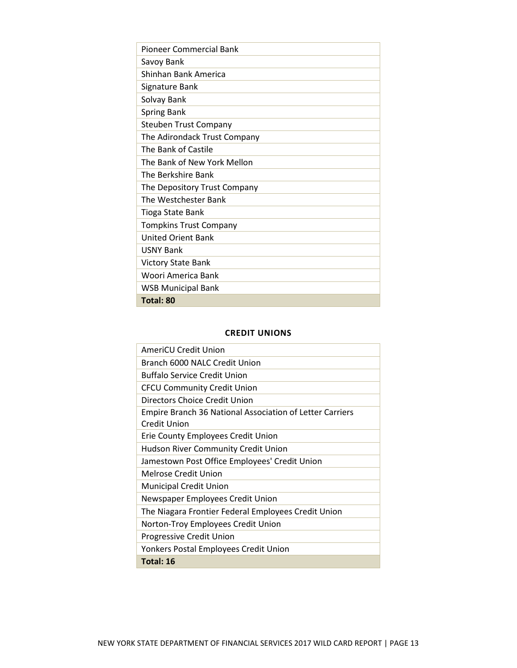| Pioneer Commercial Bank       |
|-------------------------------|
| Savoy Bank                    |
| Shinhan Bank America          |
| Signature Bank                |
| Solvay Bank                   |
| <b>Spring Bank</b>            |
| <b>Steuben Trust Company</b>  |
| The Adirondack Trust Company  |
| The Bank of Castile           |
| The Bank of New York Mellon   |
| The Berkshire Bank            |
| The Depository Trust Company  |
| The Westchester Bank          |
| Tioga State Bank              |
| <b>Tompkins Trust Company</b> |
| <b>United Orient Bank</b>     |
| <b>USNY Bank</b>              |
| Victory State Bank            |
| Woori America Bank            |
| <b>WSB Municipal Bank</b>     |
| Total: 80                     |

#### **CREDIT UNIONS**

<span id="page-14-0"></span>

| AmeriCU Credit Union                                            |
|-----------------------------------------------------------------|
| Branch 6000 NALC Credit Union                                   |
| <b>Buffalo Service Credit Union</b>                             |
| <b>CFCU Community Credit Union</b>                              |
| Directors Choice Credit Union                                   |
| <b>Empire Branch 36 National Association of Letter Carriers</b> |
| Credit Union                                                    |
| Erie County Employees Credit Union                              |
| <b>Hudson River Community Credit Union</b>                      |
| Jamestown Post Office Employees' Credit Union                   |
| Melrose Credit Union                                            |
| <b>Municipal Credit Union</b>                                   |
| Newspaper Employees Credit Union                                |
| The Niagara Frontier Federal Employees Credit Union             |
| Norton-Troy Employees Credit Union                              |
| Progressive Credit Union                                        |
| Yonkers Postal Employees Credit Union                           |
| Total: 16                                                       |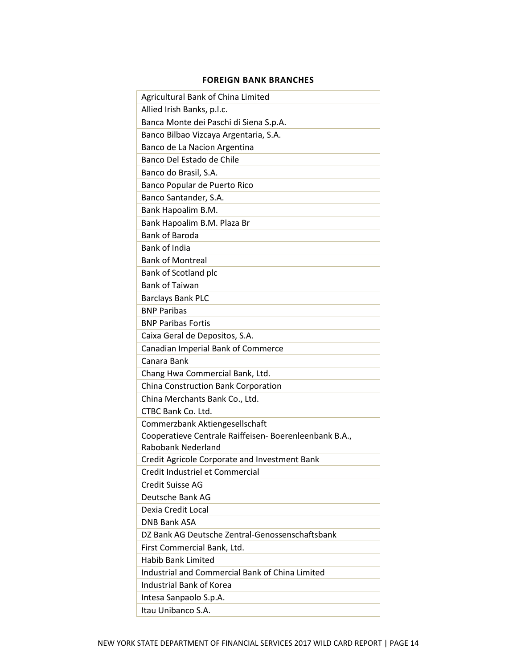## **FOREIGN BANK BRANCHES**

<span id="page-15-0"></span>

| Agricultural Bank of China Limited                     |
|--------------------------------------------------------|
| Allied Irish Banks, p.l.c.                             |
| Banca Monte dei Paschi di Siena S.p.A.                 |
| Banco Bilbao Vizcaya Argentaria, S.A.                  |
| Banco de La Nacion Argentina                           |
| Banco Del Estado de Chile                              |
| Banco do Brasil, S.A.                                  |
| Banco Popular de Puerto Rico                           |
| Banco Santander, S.A.                                  |
| Bank Hapoalim B.M.                                     |
| Bank Hapoalim B.M. Plaza Br                            |
| <b>Bank of Baroda</b>                                  |
| <b>Bank of India</b>                                   |
| <b>Bank of Montreal</b>                                |
| Bank of Scotland plc                                   |
| <b>Bank of Taiwan</b>                                  |
| <b>Barclays Bank PLC</b>                               |
| <b>BNP Paribas</b>                                     |
| <b>BNP Paribas Fortis</b>                              |
| Caixa Geral de Depositos, S.A.                         |
| Canadian Imperial Bank of Commerce                     |
| Canara Bank                                            |
| Chang Hwa Commercial Bank, Ltd.                        |
| China Construction Bank Corporation                    |
| China Merchants Bank Co., Ltd.                         |
| CTBC Bank Co. Ltd.                                     |
| Commerzbank Aktiengesellschaft                         |
| Cooperatieve Centrale Raiffeisen- Boerenleenbank B.A., |
| <b>Rabobank Nederland</b>                              |
| Credit Agricole Corporate and Investment Bank          |
| Credit Industriel et Commercial                        |
| <b>Credit Suisse AG</b>                                |
| Deutsche Bank AG                                       |
| Dexia Credit Local                                     |
| <b>DNB Bank ASA</b>                                    |
| DZ Bank AG Deutsche Zentral-Genossenschaftsbank        |
| First Commercial Bank, Ltd.                            |
| <b>Habib Bank Limited</b>                              |
| Industrial and Commercial Bank of China Limited        |
| Industrial Bank of Korea                               |
| Intesa Sanpaolo S.p.A.                                 |
| Itau Unibanco S.A.                                     |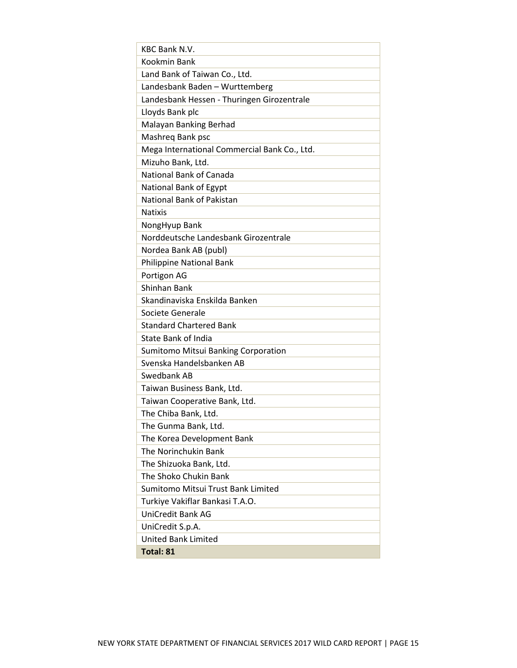<span id="page-16-0"></span>

| <b>KBC Bank N.V.</b>                         |
|----------------------------------------------|
| Kookmin Bank                                 |
| Land Bank of Taiwan Co., Ltd.                |
| Landesbank Baden - Wurttemberg               |
| Landesbank Hessen - Thuringen Girozentrale   |
| Lloyds Bank plc                              |
| Malayan Banking Berhad                       |
| Mashreg Bank psc                             |
| Mega International Commercial Bank Co., Ltd. |
| Mizuho Bank, Ltd.                            |
| National Bank of Canada                      |
| National Bank of Egypt                       |
| National Bank of Pakistan                    |
| <b>Natixis</b>                               |
| NongHyup Bank                                |
| Norddeutsche Landesbank Girozentrale         |
| Nordea Bank AB (publ)                        |
| Philippine National Bank                     |
| Portigon AG                                  |
| <b>Shinhan Bank</b>                          |
| Skandinaviska Enskilda Banken                |
| Societe Generale                             |
| <b>Standard Chartered Bank</b>               |
| State Bank of India                          |
| Sumitomo Mitsui Banking Corporation          |
| Svenska Handelsbanken AB                     |
| Swedbank AB                                  |
| Taiwan Business Bank, Ltd.                   |
| Taiwan Cooperative Bank, Ltd.                |
| The Chiba Bank, Ltd.                         |
| The Gunma Bank, Ltd.                         |
| The Korea Development Bank                   |
| The Norinchukin Bank                         |
| The Shizuoka Bank, Ltd.                      |
| The Shoko Chukin Bank                        |
| Sumitomo Mitsui Trust Bank Limited           |
| Turkiye Vakiflar Bankasi T.A.O.              |
| UniCredit Bank AG                            |
| UniCredit S.p.A.                             |
| <b>United Bank Limited</b>                   |
| Total: 81                                    |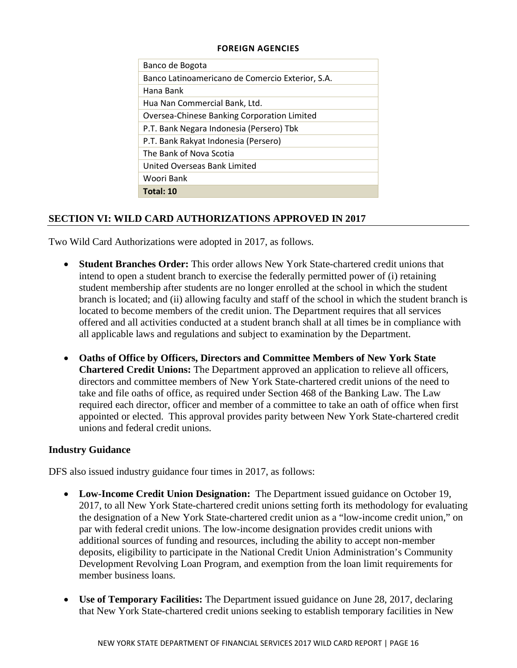#### **FOREIGN AGENCIES**

| Banco de Bogota                                  |
|--------------------------------------------------|
| Banco Latinoamericano de Comercio Exterior, S.A. |
| Hana Bank                                        |
| Hua Nan Commercial Bank, Ltd.                    |
| Oversea-Chinese Banking Corporation Limited      |
| P.T. Bank Negara Indonesia (Persero) Tbk         |
| P.T. Bank Rakyat Indonesia (Persero)             |
| The Bank of Nova Scotia                          |
| United Overseas Bank Limited                     |
| Woori Bank                                       |
| Total: 10                                        |
|                                                  |

## <span id="page-17-0"></span>**SECTION VI: WILD CARD AUTHORIZATIONS APPROVED IN 2017**

Two Wild Card Authorizations were adopted in 2017, as follows.

- **Student Branches Order:** This order allows New York State-chartered credit unions that intend to open a student branch to exercise the federally permitted power of (i) retaining student membership after students are no longer enrolled at the school in which the student branch is located; and (ii) allowing faculty and staff of the school in which the student branch is located to become members of the credit union. The Department requires that all services offered and all activities conducted at a student branch shall at all times be in compliance with all applicable laws and regulations and subject to examination by the Department.
- **Oaths of Office by Officers, Directors and Committee Members of New York State Chartered Credit Unions:** The Department approved an application to relieve all officers, directors and committee members of New York State-chartered credit unions of the need to take and file oaths of office, as required under Section 468 of the Banking Law. The Law required each director, officer and member of a committee to take an oath of office when first appointed or elected. This approval provides parity between New York State-chartered credit unions and federal credit unions.

## **Industry Guidance**

DFS also issued industry guidance four times in 2017, as follows:

- **Low-Income Credit Union Designation:** The Department issued guidance on October 19, 2017, to all New York State-chartered credit unions setting forth its methodology for evaluating the designation of a New York State-chartered credit union as a "low-income credit union," on par with federal credit unions. The low-income designation provides credit unions with additional sources of funding and resources, including the ability to accept non-member deposits, eligibility to participate in the National Credit Union Administration's Community Development Revolving Loan Program, and exemption from the loan limit requirements for member business loans.
- **Use of Temporary Facilities:** The Department issued guidance on June 28, 2017, declaring that New York State-chartered credit unions seeking to establish temporary facilities in New